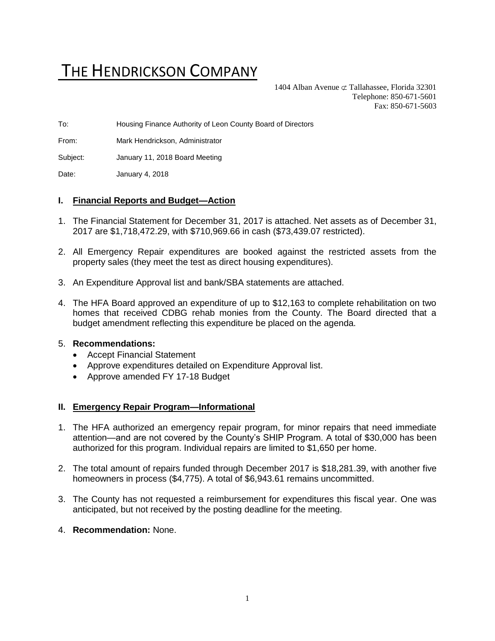# THE HENDRICKSON COMPANY

1404 Alban Avenue  $\subset \text{Tallahasse}$ , Florida 32301 Telephone: 850-671-5601 Fax: 850-671-5603

To: Housing Finance Authority of Leon County Board of Directors

From: Mark Hendrickson, Administrator

Subject: January 11, 2018 Board Meeting

Date: January 4, 2018

#### **I. Financial Reports and Budget—Action**

- 1. The Financial Statement for December 31, 2017 is attached. Net assets as of December 31, 2017 are \$1,718,472.29, with \$710,969.66 in cash (\$73,439.07 restricted).
- 2. All Emergency Repair expenditures are booked against the restricted assets from the property sales (they meet the test as direct housing expenditures).
- 3. An Expenditure Approval list and bank/SBA statements are attached.
- 4. The HFA Board approved an expenditure of up to \$12,163 to complete rehabilitation on two homes that received CDBG rehab monies from the County. The Board directed that a budget amendment reflecting this expenditure be placed on the agenda.

#### 5. **Recommendations:**

- Accept Financial Statement
- Approve expenditures detailed on Expenditure Approval list.
- Approve amended FY 17-18 Budget

#### **II. Emergency Repair Program—Informational**

- 1. The HFA authorized an emergency repair program, for minor repairs that need immediate attention—and are not covered by the County's SHIP Program. A total of \$30,000 has been authorized for this program. Individual repairs are limited to \$1,650 per home.
- 2. The total amount of repairs funded through December 2017 is \$18,281.39, with another five homeowners in process (\$4,775). A total of \$6,943.61 remains uncommitted.
- 3. The County has not requested a reimbursement for expenditures this fiscal year. One was anticipated, but not received by the posting deadline for the meeting.
- 4. **Recommendation:** None.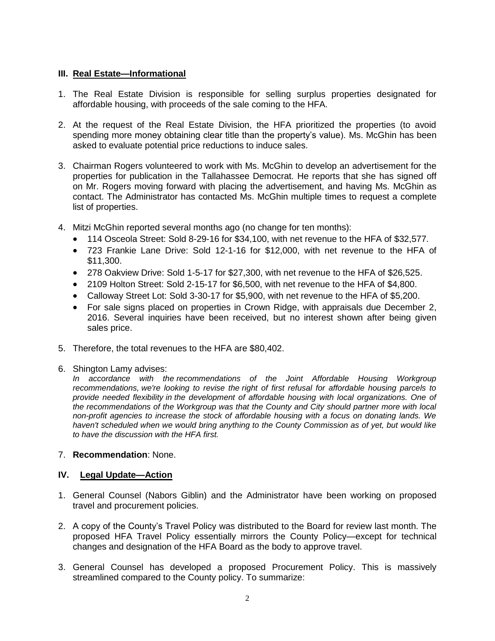# **III. Real Estate—Informational**

- 1. The Real Estate Division is responsible for selling surplus properties designated for affordable housing, with proceeds of the sale coming to the HFA.
- 2. At the request of the Real Estate Division, the HFA prioritized the properties (to avoid spending more money obtaining clear title than the property's value). Ms. McGhin has been asked to evaluate potential price reductions to induce sales.
- 3. Chairman Rogers volunteered to work with Ms. McGhin to develop an advertisement for the properties for publication in the Tallahassee Democrat. He reports that she has signed off on Mr. Rogers moving forward with placing the advertisement, and having Ms. McGhin as contact. The Administrator has contacted Ms. McGhin multiple times to request a complete list of properties.
- 4. Mitzi McGhin reported several months ago (no change for ten months):
	- 114 Osceola Street: Sold 8-29-16 for \$34,100, with net revenue to the HFA of \$32,577.
	- 723 Frankie Lane Drive: Sold 12-1-16 for \$12,000, with net revenue to the HFA of \$11,300.
	- 278 Oakview Drive: Sold 1-5-17 for \$27,300, with net revenue to the HFA of \$26,525.
	- 2109 Holton Street: Sold 2-15-17 for \$6,500, with net revenue to the HFA of \$4,800.
	- Calloway Street Lot: Sold 3-30-17 for \$5,900, with net revenue to the HFA of \$5,200.
	- For sale signs placed on properties in Crown Ridge, with appraisals due December 2, 2016. Several inquiries have been received, but no interest shown after being given sales price.
- 5. Therefore, the total revenues to the HFA are \$80,402.
- 6. Shington Lamy advises:

*In accordance with the recommendations of the Joint Affordable Housing Workgroup recommendations, we're looking to revise the right of first refusal for affordable housing parcels to provide needed flexibility in the development of affordable housing with local organizations. One of the recommendations of the Workgroup was that the County and City should partner more with local non-profit agencies to increase the stock of affordable housing with a focus on donating lands. We haven't scheduled when we would bring anything to the County Commission as of yet, but would like to have the discussion with the HFA first.* 

# 7. **Recommendation**: None.

# **IV. Legal Update—Action**

- 1. General Counsel (Nabors Giblin) and the Administrator have been working on proposed travel and procurement policies.
- 2. A copy of the County's Travel Policy was distributed to the Board for review last month. The proposed HFA Travel Policy essentially mirrors the County Policy—except for technical changes and designation of the HFA Board as the body to approve travel.
- 3. General Counsel has developed a proposed Procurement Policy. This is massively streamlined compared to the County policy. To summarize: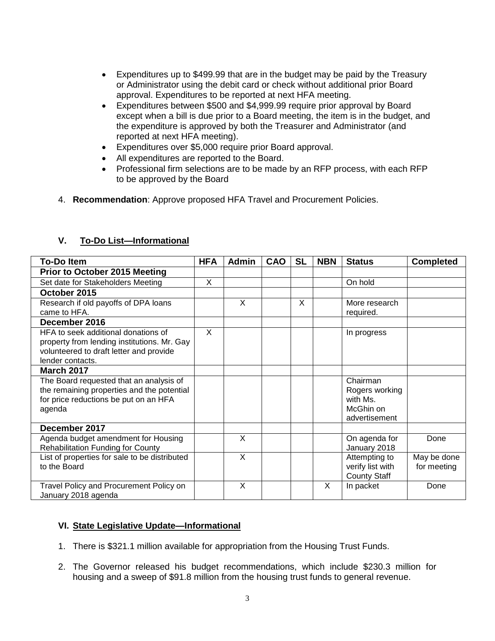- Expenditures up to \$499.99 that are in the budget may be paid by the Treasury or Administrator using the debit card or check without additional prior Board approval. Expenditures to be reported at next HFA meeting.
- Expenditures between \$500 and \$4,999.99 require prior approval by Board except when a bill is due prior to a Board meeting, the item is in the budget, and the expenditure is approved by both the Treasurer and Administrator (and reported at next HFA meeting).
- Expenditures over \$5,000 require prior Board approval.
- All expenditures are reported to the Board.
- Professional firm selections are to be made by an RFP process, with each RFP to be approved by the Board
- 4. **Recommendation**: Approve proposed HFA Travel and Procurement Policies.

| <b>To-Do Item</b>                             | <b>HFA</b> | <b>Admin</b> | <b>CAO</b> | <b>SL</b> | <b>NBN</b> | <b>Status</b>       | <b>Completed</b> |
|-----------------------------------------------|------------|--------------|------------|-----------|------------|---------------------|------------------|
| <b>Prior to October 2015 Meeting</b>          |            |              |            |           |            |                     |                  |
| Set date for Stakeholders Meeting             | X          |              |            |           |            | On hold             |                  |
| October 2015                                  |            |              |            |           |            |                     |                  |
| Research if old payoffs of DPA loans          |            | X            |            | X         |            | More research       |                  |
| came to HFA.                                  |            |              |            |           |            | required.           |                  |
| December 2016                                 |            |              |            |           |            |                     |                  |
| HFA to seek additional donations of           | X          |              |            |           |            | In progress         |                  |
| property from lending institutions. Mr. Gay   |            |              |            |           |            |                     |                  |
| volunteered to draft letter and provide       |            |              |            |           |            |                     |                  |
| lender contacts.                              |            |              |            |           |            |                     |                  |
| <b>March 2017</b>                             |            |              |            |           |            |                     |                  |
| The Board requested that an analysis of       |            |              |            |           |            | Chairman            |                  |
| the remaining properties and the potential    |            |              |            |           |            | Rogers working      |                  |
| for price reductions be put on an HFA         |            |              |            |           |            | with Ms.            |                  |
| agenda                                        |            |              |            |           |            | McGhin on           |                  |
|                                               |            |              |            |           |            | advertisement       |                  |
| December 2017                                 |            |              |            |           |            |                     |                  |
| Agenda budget amendment for Housing           |            | X            |            |           |            | On agenda for       | Done             |
| <b>Rehabilitation Funding for County</b>      |            |              |            |           |            | January 2018        |                  |
| List of properties for sale to be distributed |            | X            |            |           |            | Attempting to       | May be done      |
| to the Board                                  |            |              |            |           |            | verify list with    | for meeting      |
|                                               |            |              |            |           |            | <b>County Staff</b> |                  |
| Travel Policy and Procurement Policy on       |            | X            |            |           | X          | In packet           | Done             |
| January 2018 agenda                           |            |              |            |           |            |                     |                  |

# **V. To-Do List—Informational**

#### **VI. State Legislative Update—Informational**

- 1. There is \$321.1 million available for appropriation from the Housing Trust Funds.
- 2. The Governor released his budget recommendations, which include \$230.3 million for housing and a sweep of \$91.8 million from the housing trust funds to general revenue.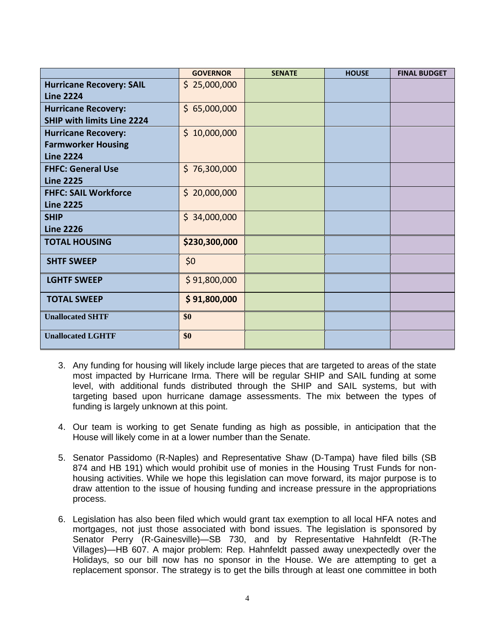|                                                                             | <b>GOVERNOR</b> | <b>SENATE</b> | <b>HOUSE</b> | <b>FINAL BUDGET</b> |
|-----------------------------------------------------------------------------|-----------------|---------------|--------------|---------------------|
| <b>Hurricane Recovery: SAIL</b><br><b>Line 2224</b>                         | \$25,000,000    |               |              |                     |
| <b>Hurricane Recovery:</b><br><b>SHIP with limits Line 2224</b>             | \$65,000,000    |               |              |                     |
| <b>Hurricane Recovery:</b><br><b>Farmworker Housing</b><br><b>Line 2224</b> | \$10,000,000    |               |              |                     |
| <b>FHFC: General Use</b><br><b>Line 2225</b>                                | \$76,300,000    |               |              |                     |
| <b>FHFC: SAIL Workforce</b><br><b>Line 2225</b>                             | \$20,000,000    |               |              |                     |
| <b>SHIP</b><br><b>Line 2226</b>                                             | \$34,000,000    |               |              |                     |
| <b>TOTAL HOUSING</b>                                                        | \$230,300,000   |               |              |                     |
| <b>SHTF SWEEP</b>                                                           | \$0             |               |              |                     |
| <b>LGHTF SWEEP</b>                                                          | \$91,800,000    |               |              |                     |
| <b>TOTAL SWEEP</b>                                                          | \$91,800,000    |               |              |                     |
| <b>Unallocated SHTF</b>                                                     | \$0             |               |              |                     |
| <b>Unallocated LGHTF</b>                                                    | \$0             |               |              |                     |

- 3. Any funding for housing will likely include large pieces that are targeted to areas of the state most impacted by Hurricane Irma. There will be regular SHIP and SAIL funding at some level, with additional funds distributed through the SHIP and SAIL systems, but with targeting based upon hurricane damage assessments. The mix between the types of funding is largely unknown at this point.
- 4. Our team is working to get Senate funding as high as possible, in anticipation that the House will likely come in at a lower number than the Senate.
- 5. Senator Passidomo (R-Naples) and Representative Shaw (D-Tampa) have filed bills (SB 874 and HB 191) which would prohibit use of monies in the Housing Trust Funds for nonhousing activities. While we hope this legislation can move forward, its major purpose is to draw attention to the issue of housing funding and increase pressure in the appropriations process.
- 6. Legislation has also been filed which would grant tax exemption to all local HFA notes and mortgages, not just those associated with bond issues. The legislation is sponsored by Senator Perry (R-Gainesville)—SB 730, and by Representative Hahnfeldt (R-The Villages)—HB 607. A major problem: Rep. Hahnfeldt passed away unexpectedly over the Holidays, so our bill now has no sponsor in the House. We are attempting to get a replacement sponsor. The strategy is to get the bills through at least one committee in both